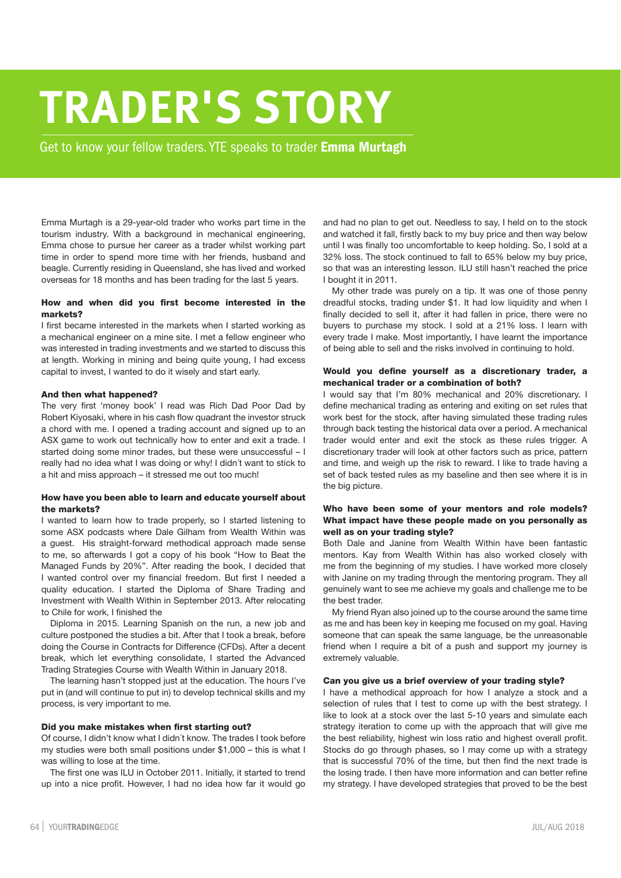# **TRADER'S STORY**

Get to know your fellow traders. YTE speaks to trader **Emma Murtagh**

Emma Murtagh is a 29-year-old trader who works part time in the tourism industry. With a background in mechanical engineering, Emma chose to pursue her career as a trader whilst working part time in order to spend more time with her friends, husband and beagle. Currently residing in Queensland, she has lived and worked overseas for 18 months and has been trading for the last 5 years.

## **How and when did you first become interested in the markets?**

I first became interested in the markets when I started working as a mechanical engineer on a mine site. I met a fellow engineer who was interested in trading investments and we started to discuss this at length. Working in mining and being quite young, I had excess capital to invest, I wanted to do it wisely and start early.

#### **And then what happened?**

The very first 'money book' I read was Rich Dad Poor Dad by Robert Kiyosaki, where in his cash flow quadrant the investor struck a chord with me. I opened a trading account and signed up to an ASX game to work out technically how to enter and exit a trade. I started doing some minor trades, but these were unsuccessful – I really had no idea what I was doing or why! I didn´t want to stick to a hit and miss approach – it stressed me out too much!

# **How have you been able to learn and educate yourself about the markets?**

I wanted to learn how to trade properly, so I started listening to some ASX podcasts where Dale Gilham from Wealth Within was a guest. His straight-forward methodical approach made sense to me, so afterwards I got a copy of his book "How to Beat the Managed Funds by 20%". After reading the book, I decided that I wanted control over my financial freedom. But first I needed a quality education. I started the Diploma of Share Trading and Investment with Wealth Within in September 2013. After relocating to Chile for work, I finished the

Diploma in 2015. Learning Spanish on the run, a new job and culture postponed the studies a bit. After that I took a break, before doing the Course in Contracts for Difference (CFDs). After a decent break, which let everything consolidate, I started the Advanced Trading Strategies Course with Wealth Within in January 2018.

The learning hasn't stopped just at the education. The hours I've put in (and will continue to put in) to develop technical skills and my process, is very important to me.

#### **Did you make mistakes when first starting out?**

Of course, I didn't know what I didn´t know. The trades I took before my studies were both small positions under \$1,000 – this is what I was willing to lose at the time.

The first one was ILU in October 2011. Initially, it started to trend up into a nice profit. However, I had no idea how far it would go and had no plan to get out. Needless to say, I held on to the stock and watched it fall, firstly back to my buy price and then way below until I was finally too uncomfortable to keep holding. So, I sold at a 32% loss. The stock continued to fall to 65% below my buy price, so that was an interesting lesson. ILU still hasn't reached the price I bought it in 2011.

My other trade was purely on a tip. It was one of those penny dreadful stocks, trading under \$1. It had low liquidity and when I finally decided to sell it, after it had fallen in price, there were no buyers to purchase my stock. I sold at a 21% loss. I learn with every trade I make. Most importantly, I have learnt the importance of being able to sell and the risks involved in continuing to hold.

# **Would you define yourself as a discretionary trader, a mechanical trader or a combination of both?**

I would say that I'm 80% mechanical and 20% discretionary. I define mechanical trading as entering and exiting on set rules that work best for the stock, after having simulated these trading rules through back testing the historical data over a period. A mechanical trader would enter and exit the stock as these rules trigger. A discretionary trader will look at other factors such as price, pattern and time, and weigh up the risk to reward. I like to trade having a set of back tested rules as my baseline and then see where it is in the big picture.

# **Who have been some of your mentors and role models? What impact have these people made on you personally as well as on your trading style?**

Both Dale and Janine from Wealth Within have been fantastic mentors. Kay from Wealth Within has also worked closely with me from the beginning of my studies. I have worked more closely with Janine on my trading through the mentoring program. They all genuinely want to see me achieve my goals and challenge me to be the best trader.

My friend Ryan also joined up to the course around the same time as me and has been key in keeping me focused on my goal. Having someone that can speak the same language, be the unreasonable friend when I require a bit of a push and support my journey is extremely valuable.

#### **Can you give us a brief overview of your trading style?**

I have a methodical approach for how I analyze a stock and a selection of rules that I test to come up with the best strategy. I like to look at a stock over the last 5-10 years and simulate each strategy iteration to come up with the approach that will give me the best reliability, highest win loss ratio and highest overall profit. Stocks do go through phases, so I may come up with a strategy that is successful 70% of the time, but then find the next trade is the losing trade. I then have more information and can better refine my strategy. I have developed strategies that proved to be the best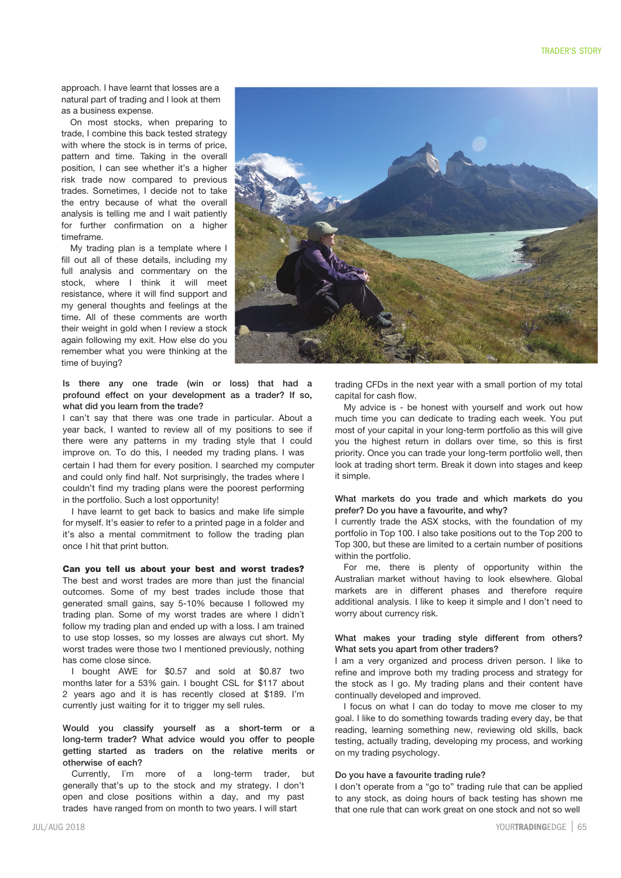approach. I have learnt that losses are a natural part of trading and I look at them as a business expense.

On most stocks, when preparing to trade, I combine this back tested strategy with where the stock is in terms of price, pattern and time. Taking in the overall position, I can see whether it's a higher risk trade now compared to previous trades. Sometimes, I decide not to take the entry because of what the overall analysis is telling me and I wait patiently for further confirmation on a higher timeframe.

My trading plan is a template where I fill out all of these details, including my full analysis and commentary on the stock, where I think it will meet resistance, where it will find support and my general thoughts and feelings at the time. All of these comments are worth their weight in gold when I review a stock again following my exit. How else do you remember what you were thinking at the time of buying?

Is there any one trade (win or loss) that had a profound effect on your development as a trader? If so, what did you learn from the trade?

I can't say that there was one trade in particular. About a year back, I wanted to review all of my positions to see if there were any patterns in my trading style that I could improve on. To do this, I needed my trading plans. I was certain I had them for every position. I searched my computer and could only find half. Not surprisingly, the trades where I couldn't find my trading plans were the poorest performing in the portfolio. Such a lost opportunity!

I have learnt to get back to basics and make life simple for myself. It's easier to refer to a printed page in a folder and it's also a mental commitment to follow the trading plan once I hit that print button.

**Can you tell us about your best and worst trades?** The best and worst trades are more than just the financial outcomes. Some of my best trades include those that generated small gains, say 5-10% because I followed my trading plan. Some of my worst trades are where I didn´t follow my trading plan and ended up with a loss. I am trained to use stop losses, so my losses are always cut short. My worst trades were those two I mentioned previously, nothing has come close since.

I bought AWE for \$0.57 and sold at \$0.87 two months later for a 53% gain. I bought CSL for \$117 about 2 years ago and it is has recently closed at \$189. I'm currently just waiting for it to trigger my sell rules.

Would you classify yourself as a short-term or a long-term trader? What advice would you offer to people getting started as traders on the relative merits or otherwise of each?

Currently, I´m more of a long-term trader, but generally that's up to the stock and my strategy. I don't open and close positions within a day, and my past trades have ranged from on month to two years. I will start



trading CFDs in the next year with a small portion of my total capital for cash flow.

My advice is - be honest with yourself and work out how much time you can dedicate to trading each week. You put most of your capital in your long-term portfolio as this will give you the highest return in dollars over time, so this is first priority. Once you can trade your long-term portfolio well, then look at trading short term. Break it down into stages and keep it simple.

# What markets do you trade and which markets do you prefer? Do you have a favourite, and why?

I currently trade the ASX stocks, with the foundation of my portfolio in Top 100. I also take positions out to the Top 200 to Top 300, but these are limited to a certain number of positions within the portfolio.

For me, there is plenty of opportunity within the Australian market without having to look elsewhere. Global markets are in different phases and therefore require additional analysis. I like to keep it simple and I don't need to worry about currency risk.

# What makes your trading style different from others? What sets you apart from other traders?

I am a very organized and process driven person. I like to refine and improve both my trading process and strategy for the stock as I go. My trading plans and their content have continually developed and improved.

I focus on what I can do today to move me closer to my goal. I like to do something towards trading every day, be that reading, learning something new, reviewing old skills, back testing, actually trading, developing my process, and working on my trading psychology.

#### Do you have a favourite trading rule?

I don't operate from a "go to" trading rule that can be applied to any stock, as doing hours of back testing has shown me that one rule that can work great on one stock and not so well